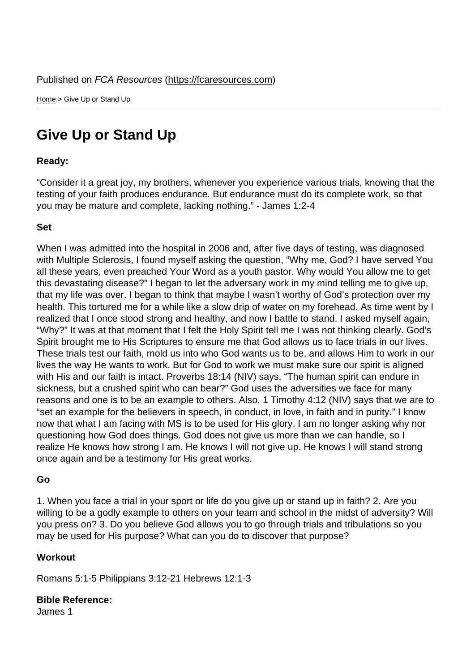Home > Give Up or Stand Up

## [Giv](https://fcaresources.com/)e Up or Stand Up

Ready:

["Consider it a great joy, my brothe](https://fcaresources.com/devotional/give-or-stand)rs, whenever you experience various trials, knowing that the testing of your faith produces endurance. But endurance must do its complete work, so that you may be mature and complete, lacking nothing." - James 1:2-4

Set

When I was admitted into the hospital in 2006 and, after five days of testing, was diagnosed with Multiple Sclerosis, I found myself asking the question, "Why me, God? I have served You all these years, even preached Your Word as a youth pastor. Why would You allow me to get this devastating disease?" I began to let the adversary work in my mind telling me to give up, that my life was over. I began to think that maybe I wasn't worthy of God's protection over my health. This tortured me for a while like a slow drip of water on my forehead. As time went by I realized that I once stood strong and healthy, and now I battle to stand. I asked myself again, "Why?" It was at that moment that I felt the Holy Spirit tell me I was not thinking clearly. God's Spirit brought me to His Scriptures to ensure me that God allows us to face trials in our lives. These trials test our faith, mold us into who God wants us to be, and allows Him to work in our lives the way He wants to work. But for God to work we must make sure our spirit is aligned with His and our faith is intact. Proverbs 18:14 (NIV) says, "The human spirit can endure in sickness, but a crushed spirit who can bear?" God uses the adversities we face for many reasons and one is to be an example to others. Also, 1 Timothy 4:12 (NIV) says that we are to "set an example for the believers in speech, in conduct, in love, in faith and in purity." I know now that what I am facing with MS is to be used for His glory. I am no longer asking why nor questioning how God does things. God does not give us more than we can handle, so I realize He knows how strong I am. He knows I will not give up. He knows I will stand strong once again and be a testimony for His great works.

Go

1. When you face a trial in your sport or life do you give up or stand up in faith? 2. Are you willing to be a godly example to others on your team and school in the midst of adversity? Will you press on? 3. Do you believe God allows you to go through trials and tribulations so you may be used for His purpose? What can you do to discover that purpose?

**Workout** 

Romans 5:1-5 Philippians 3:12-21 Hebrews 12:1-3

Bible Reference: James 1